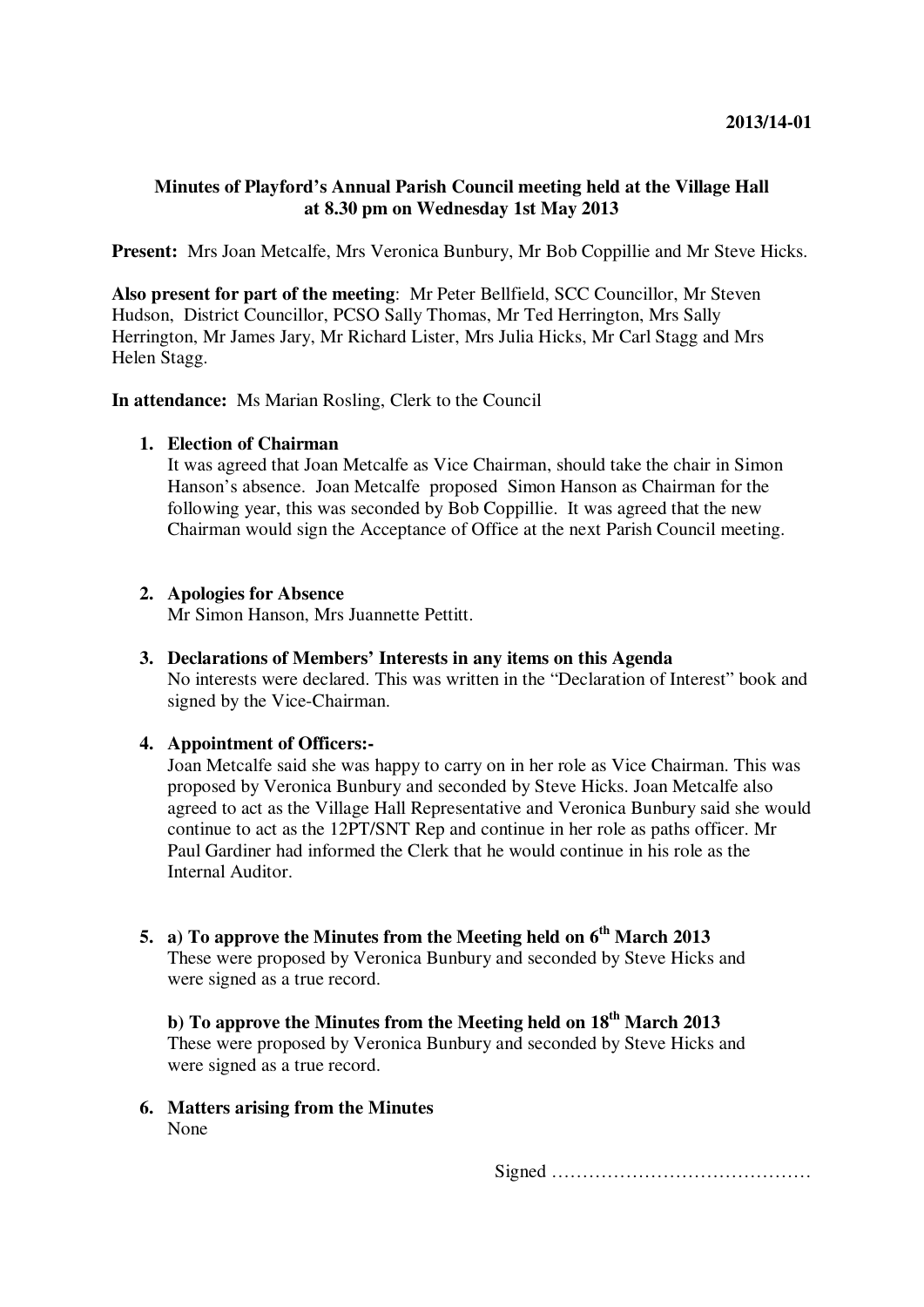# **Minutes of Playford's Annual Parish Council meeting held at the Village Hall at 8.30 pm on Wednesday 1st May 2013**

**Present:** Mrs Joan Metcalfe, Mrs Veronica Bunbury, Mr Bob Coppillie and Mr Steve Hicks.

**Also present for part of the meeting**: Mr Peter Bellfield, SCC Councillor, Mr Steven Hudson, District Councillor, PCSO Sally Thomas, Mr Ted Herrington, Mrs Sally Herrington, Mr James Jary, Mr Richard Lister, Mrs Julia Hicks, Mr Carl Stagg and Mrs Helen Stagg.

**In attendance:** Ms Marian Rosling, Clerk to the Council

# **1. Election of Chairman**

It was agreed that Joan Metcalfe as Vice Chairman, should take the chair in Simon Hanson's absence. Joan Metcalfe proposed Simon Hanson as Chairman for the following year, this was seconded by Bob Coppillie. It was agreed that the new Chairman would sign the Acceptance of Office at the next Parish Council meeting.

# **2. Apologies for Absence**

Mr Simon Hanson, Mrs Juannette Pettitt.

**3. Declarations of Members' Interests in any items on this Agenda**  No interests were declared. This was written in the "Declaration of Interest" book and signed by the Vice-Chairman.

# **4. Appointment of Officers:-**

Joan Metcalfe said she was happy to carry on in her role as Vice Chairman. This was proposed by Veronica Bunbury and seconded by Steve Hicks. Joan Metcalfe also agreed to act as the Village Hall Representative and Veronica Bunbury said she would continue to act as the 12PT/SNT Rep and continue in her role as paths officer. Mr Paul Gardiner had informed the Clerk that he would continue in his role as the Internal Auditor.

# **5. a) To approve the Minutes from the Meeting held on 6th March 2013**

These were proposed by Veronica Bunbury and seconded by Steve Hicks and were signed as a true record.

# **b) To approve the Minutes from the Meeting held on 18th March 2013**

These were proposed by Veronica Bunbury and seconded by Steve Hicks and were signed as a true record.

**6. Matters arising from the Minutes** None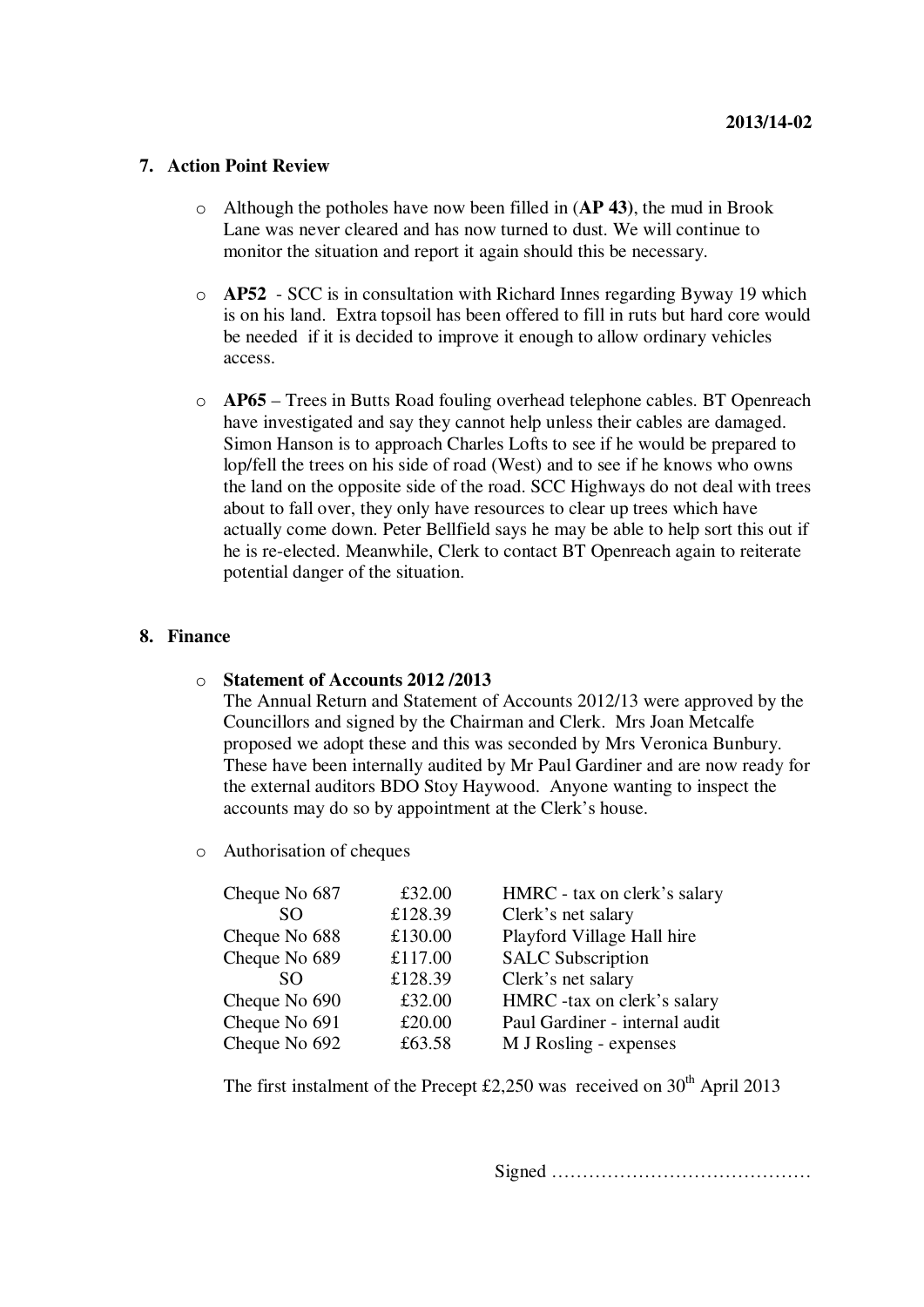### **7. Action Point Review**

- o Although the potholes have now been filled in (**AP 43)**, the mud in Brook Lane was never cleared and has now turned to dust. We will continue to monitor the situation and report it again should this be necessary.
- o **AP52** SCC is in consultation with Richard Innes regarding Byway 19 which is on his land. Extra topsoil has been offered to fill in ruts but hard core would be needed if it is decided to improve it enough to allow ordinary vehicles access.
- o **AP65** Trees in Butts Road fouling overhead telephone cables. BT Openreach have investigated and say they cannot help unless their cables are damaged. Simon Hanson is to approach Charles Lofts to see if he would be prepared to lop/fell the trees on his side of road (West) and to see if he knows who owns the land on the opposite side of the road. SCC Highways do not deal with trees about to fall over, they only have resources to clear up trees which have actually come down. Peter Bellfield says he may be able to help sort this out if he is re-elected. Meanwhile, Clerk to contact BT Openreach again to reiterate potential danger of the situation.

# **8. Finance**

### o **Statement of Accounts 2012 /2013**

The Annual Return and Statement of Accounts 2012/13 were approved by the Councillors and signed by the Chairman and Clerk. Mrs Joan Metcalfe proposed we adopt these and this was seconded by Mrs Veronica Bunbury. These have been internally audited by Mr Paul Gardiner and are now ready for the external auditors BDO Stoy Haywood. Anyone wanting to inspect the accounts may do so by appointment at the Clerk's house.

o Authorisation of cheques

| £32.00<br>HMRC - tax on clerk's salary   |
|------------------------------------------|
| £128.39<br>Clerk's net salary            |
| Playford Village Hall hire<br>£130.00    |
| £117.00<br><b>SALC Subscription</b>      |
| £128.39<br>Clerk's net salary            |
| HMRC -tax on clerk's salary<br>£32.00    |
| £20.00<br>Paul Gardiner - internal audit |
| £63.58<br>M J Rosling - expenses         |
|                                          |

The first instalment of the Precept £2,250 was received on  $30<sup>th</sup>$  April 2013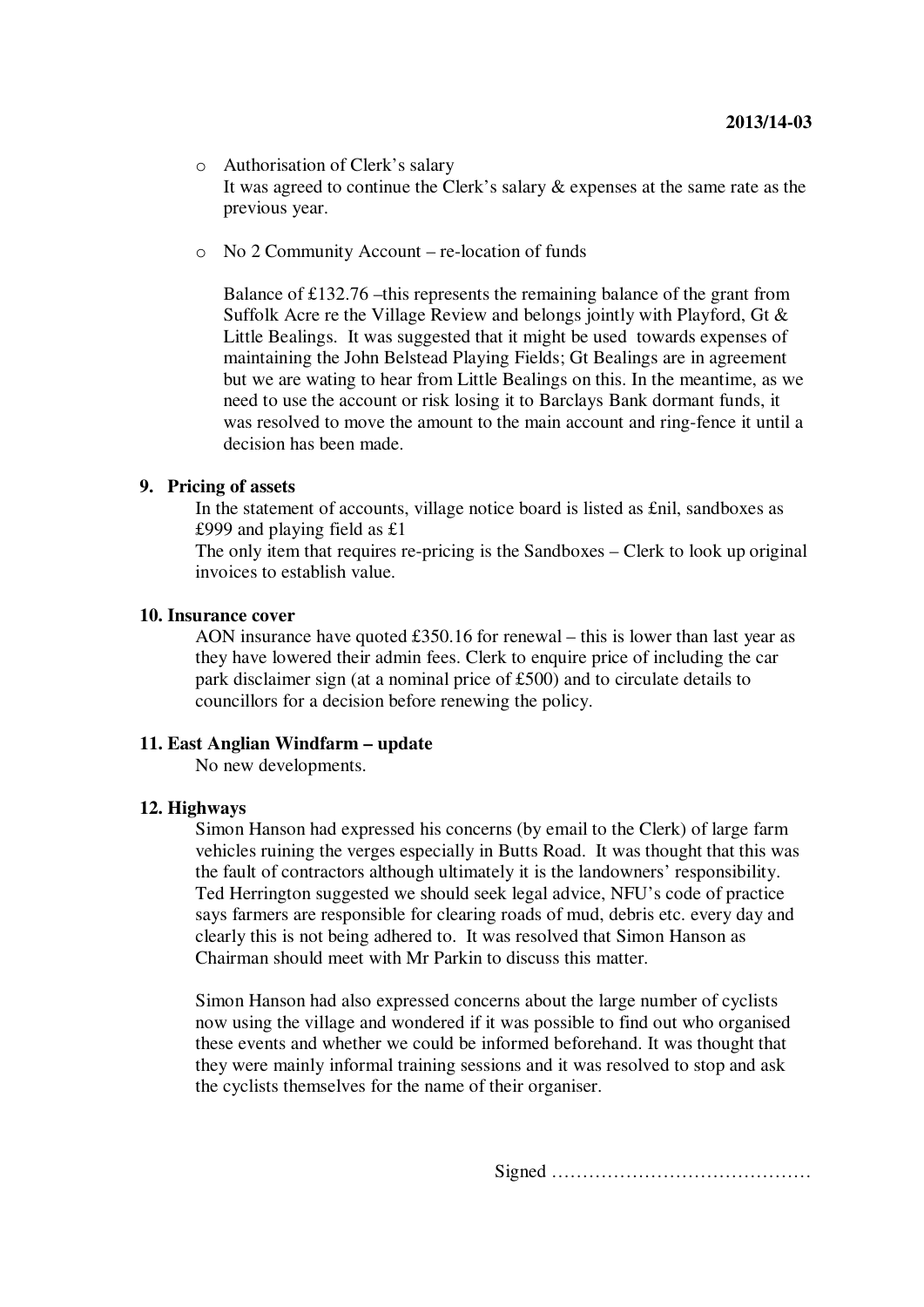- o Authorisation of Clerk's salary It was agreed to continue the Clerk's salary & expenses at the same rate as the previous year.
- o No 2 Community Account re-location of funds

Balance of £132.76 –this represents the remaining balance of the grant from Suffolk Acre re the Village Review and belongs jointly with Playford, Gt & Little Bealings. It was suggested that it might be used towards expenses of maintaining the John Belstead Playing Fields; Gt Bealings are in agreement but we are wating to hear from Little Bealings on this. In the meantime, as we need to use the account or risk losing it to Barclays Bank dormant funds, it was resolved to move the amount to the main account and ring-fence it until a decision has been made.

### **9. Pricing of assets**

In the statement of accounts, village notice board is listed as £nil, sandboxes as £999 and playing field as £1

The only item that requires re-pricing is the Sandboxes – Clerk to look up original invoices to establish value.

#### **10. Insurance cover**

AON insurance have quoted £350.16 for renewal – this is lower than last year as they have lowered their admin fees. Clerk to enquire price of including the car park disclaimer sign (at a nominal price of £500) and to circulate details to councillors for a decision before renewing the policy.

### **11. East Anglian Windfarm – update**

No new developments.

### **12. Highways**

Simon Hanson had expressed his concerns (by email to the Clerk) of large farm vehicles ruining the verges especially in Butts Road. It was thought that this was the fault of contractors although ultimately it is the landowners' responsibility. Ted Herrington suggested we should seek legal advice, NFU's code of practice says farmers are responsible for clearing roads of mud, debris etc. every day and clearly this is not being adhered to. It was resolved that Simon Hanson as Chairman should meet with Mr Parkin to discuss this matter.

Simon Hanson had also expressed concerns about the large number of cyclists now using the village and wondered if it was possible to find out who organised these events and whether we could be informed beforehand. It was thought that they were mainly informal training sessions and it was resolved to stop and ask the cyclists themselves for the name of their organiser.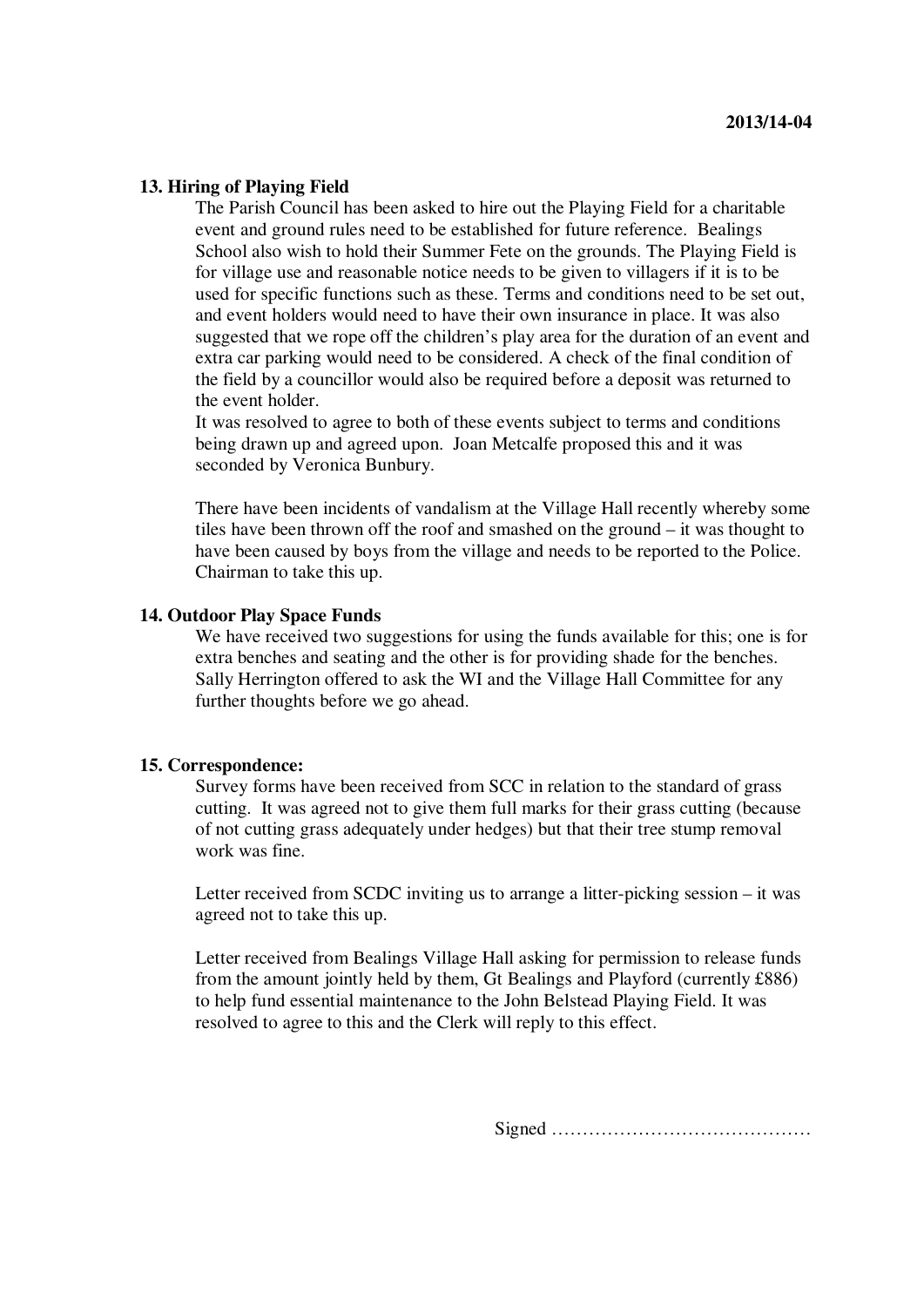#### **13. Hiring of Playing Field**

The Parish Council has been asked to hire out the Playing Field for a charitable event and ground rules need to be established for future reference. Bealings School also wish to hold their Summer Fete on the grounds. The Playing Field is for village use and reasonable notice needs to be given to villagers if it is to be used for specific functions such as these. Terms and conditions need to be set out, and event holders would need to have their own insurance in place. It was also suggested that we rope off the children's play area for the duration of an event and extra car parking would need to be considered. A check of the final condition of the field by a councillor would also be required before a deposit was returned to the event holder.

It was resolved to agree to both of these events subject to terms and conditions being drawn up and agreed upon. Joan Metcalfe proposed this and it was seconded by Veronica Bunbury.

There have been incidents of vandalism at the Village Hall recently whereby some tiles have been thrown off the roof and smashed on the ground – it was thought to have been caused by boys from the village and needs to be reported to the Police. Chairman to take this up.

#### **14. Outdoor Play Space Funds**

We have received two suggestions for using the funds available for this; one is for extra benches and seating and the other is for providing shade for the benches. Sally Herrington offered to ask the WI and the Village Hall Committee for any further thoughts before we go ahead.

#### **15. Correspondence:**

Survey forms have been received from SCC in relation to the standard of grass cutting. It was agreed not to give them full marks for their grass cutting (because of not cutting grass adequately under hedges) but that their tree stump removal work was fine.

Letter received from SCDC inviting us to arrange a litter-picking session – it was agreed not to take this up.

Letter received from Bealings Village Hall asking for permission to release funds from the amount jointly held by them, Gt Bealings and Playford (currently £886) to help fund essential maintenance to the John Belstead Playing Field. It was resolved to agree to this and the Clerk will reply to this effect.